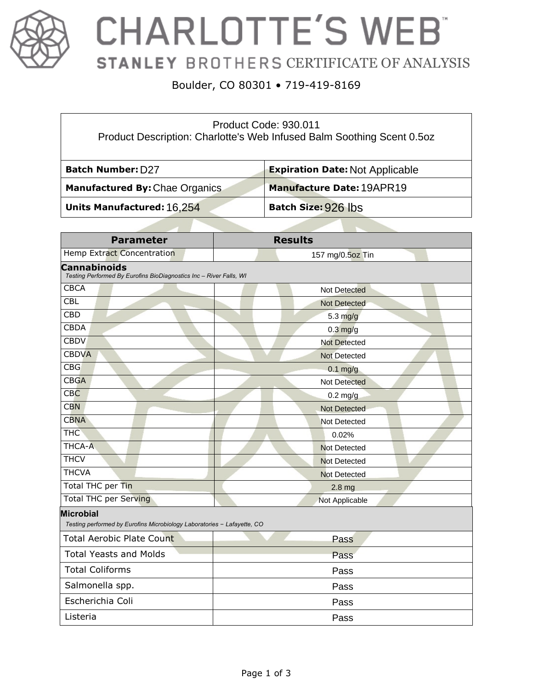

## **CHARLOTTE'S WEB STANLEY BROTHERS CERTIFICATE OF ANALYSIS**

#### Boulder, CO 80301 • 719-419-8169

| Product Code: 930.011<br>Product Description: Charlotte's Web Infused Balm Soothing Scent 0.502 |                                        |  |  |
|-------------------------------------------------------------------------------------------------|----------------------------------------|--|--|
| <b>Batch Number: D27</b>                                                                        | <b>Expiration Date: Not Applicable</b> |  |  |
| Manufactured By: Chae Organics                                                                  | <b>Manufacture Date: 19APR19</b>       |  |  |
| Units Manufactured: 16,254                                                                      | Batch Size: 926 lbs                    |  |  |

| <b>Parameter</b>                                                                            | <b>Results</b>      |  |  |
|---------------------------------------------------------------------------------------------|---------------------|--|--|
| Hemp Extract Concentration                                                                  | 157 mg/0.5oz Tin    |  |  |
| <b>Cannabinoids</b><br>Testing Performed By Eurofins BioDiagnostics Inc - River Falls, WI   |                     |  |  |
| <b>CBCA</b>                                                                                 | Not Detected        |  |  |
| <b>CBL</b>                                                                                  | <b>Not Detected</b> |  |  |
| <b>CBD</b>                                                                                  | $5.3$ mg/g          |  |  |
| <b>CBDA</b>                                                                                 | $0.3$ mg/g          |  |  |
| <b>CBDV</b>                                                                                 | <b>Not Detected</b> |  |  |
| <b>CBDVA</b>                                                                                | <b>Not Detected</b> |  |  |
| CBG                                                                                         | $0.1$ mg/g          |  |  |
| <b>CBGA</b>                                                                                 | <b>Not Detected</b> |  |  |
| CBC                                                                                         | $0.2$ mg/g          |  |  |
| <b>CBN</b>                                                                                  | <b>Not Detected</b> |  |  |
| <b>CBNA</b>                                                                                 | <b>Not Detected</b> |  |  |
| <b>THC</b>                                                                                  | 0.02%               |  |  |
| THCA-A                                                                                      | <b>Not Detected</b> |  |  |
| <b>THCV</b>                                                                                 | <b>Not Detected</b> |  |  |
| <b>THCVA</b>                                                                                | <b>Not Detected</b> |  |  |
| Total THC per Tin                                                                           | 2.8 <sub>mg</sub>   |  |  |
| <b>Total THC per Serving</b>                                                                | Not Applicable      |  |  |
| <b>Microbial</b><br>Testing performed by Eurofins Microbiology Laboratories - Lafayette, CO |                     |  |  |
| <b>Total Aerobic Plate Count</b>                                                            | Pass                |  |  |
| <b>Total Yeasts and Molds</b>                                                               | Pass                |  |  |
| <b>Total Coliforms</b>                                                                      | Pass                |  |  |
| Salmonella spp.                                                                             | Pass                |  |  |
| Escherichia Coli                                                                            | Pass                |  |  |
| Listeria                                                                                    | Pass                |  |  |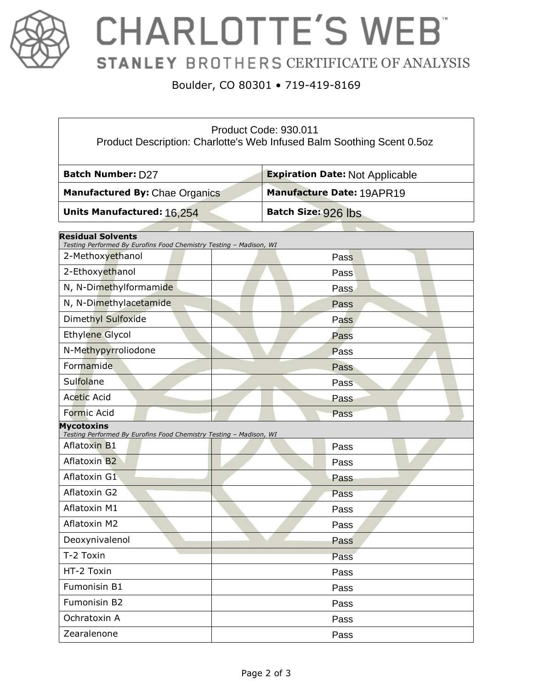

# **CHARLOTTE'S WEB** STANLEY BROTHERS CERTIFICATE OF ANALYSIS

#### Boulder, CO 80301 • 719-419-8169

| Product Code: 930.011<br>Product Description: Charlotte's Web Infused Balm Soothing Scent 0.5oz |                                        |  |  |  |
|-------------------------------------------------------------------------------------------------|----------------------------------------|--|--|--|
| Batch Number: D27                                                                               | <b>Expiration Date: Not Applicable</b> |  |  |  |
| Manufactured By: Chae Organics                                                                  | Manufacture Date: 19APR19              |  |  |  |
| Units Manufactured: 16,254                                                                      | <b>Batch Size: 926 lbs</b>             |  |  |  |
| <b>Residual Solvents</b>                                                                        |                                        |  |  |  |
| Testing Performed By Eurofins Food Chemistry Testing - Madison, WI<br>2-Methoxyethanol          | Pass                                   |  |  |  |
| 2-Ethoxyethanol                                                                                 | Pass                                   |  |  |  |
| N, N-Dimethylformamide                                                                          | Pass                                   |  |  |  |
| N, N-Dimethylacetamide                                                                          |                                        |  |  |  |
| Dimethyl Sulfoxide                                                                              | Pass                                   |  |  |  |
|                                                                                                 | Pass                                   |  |  |  |
| Ethylene Glycol                                                                                 | Pass                                   |  |  |  |
| N-Methypyrroliodone                                                                             | Pass                                   |  |  |  |
| Formamide                                                                                       | Pass                                   |  |  |  |
| Sulfolane                                                                                       | Pass                                   |  |  |  |
| <b>Acetic Acid</b>                                                                              | Pass                                   |  |  |  |
| <b>Formic Acid</b><br><b>Mycotoxins</b>                                                         | Pass                                   |  |  |  |
| Testing Performed By Eurofins Food Chemistry Testing - Madison, WI                              |                                        |  |  |  |
| <b>Aflatoxin B1</b>                                                                             | Pass                                   |  |  |  |
| <b>Aflatoxin B2</b>                                                                             | Pass                                   |  |  |  |
| Aflatoxin G1                                                                                    | Pass                                   |  |  |  |
| Aflatoxin G2                                                                                    | Pass                                   |  |  |  |
| Aflatoxin M1                                                                                    | Pass                                   |  |  |  |
| Aflatoxin M2                                                                                    | Pass                                   |  |  |  |
| Deoxynivalenol                                                                                  | Pass                                   |  |  |  |
| T-2 Toxin                                                                                       | Pass                                   |  |  |  |
| HT-2 Toxin                                                                                      | Pass                                   |  |  |  |
| Fumonisin B1                                                                                    | Pass                                   |  |  |  |
| Fumonisin B2                                                                                    | Pass                                   |  |  |  |
| Ochratoxin A                                                                                    | Pass                                   |  |  |  |
| Zearalenone                                                                                     | Pass                                   |  |  |  |